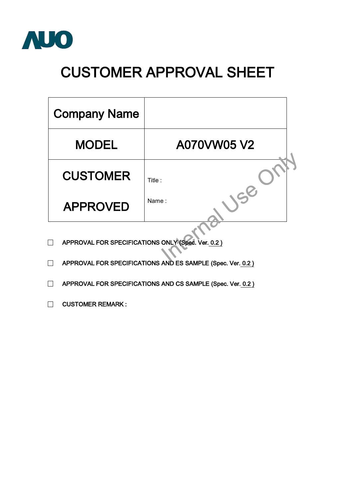

## **CUSTOMER APPROVAL SHEET**

| <b>Company Name</b>                               |             |  |  |  |  |  |
|---------------------------------------------------|-------------|--|--|--|--|--|
| <b>MODEL</b>                                      | A070VW05 V2 |  |  |  |  |  |
| <b>CUSTOMER</b>                                   | Title :     |  |  |  |  |  |
| <b>APPROVED</b>                                   | Name:       |  |  |  |  |  |
| APPROVAL FOR SPECIFICATIONS ONLY (Spec. Ver. 0.2) |             |  |  |  |  |  |

- □ **APPROVAL FOR SPECIFICATIONS ONLY (Spec. Ver. 0.2 )**
- □ **APPROVAL FOR SPECIFICATIONS AND ES SAMPLE (Spec. Ver. 0.2 )**
- □ **APPROVAL FOR SPECIFICATIONS AND CS SAMPLE (Spec. Ver. 0.2)**
- □ **CUSTOMER REMARK :**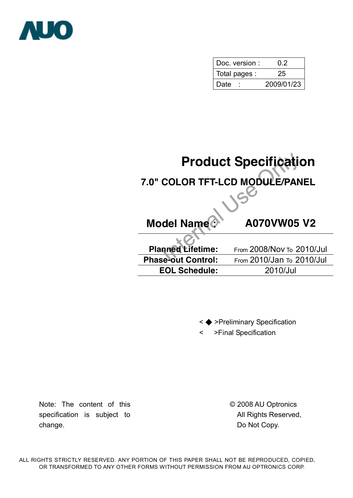

| Doc. version: | 02         |
|---------------|------------|
| Total pages : | 25         |
| Date          | 2009/01/23 |

# **Product Specification<br>
COLOR TFT-LCD MODULE/PANEL<br>
del Name A070VW05 V2<br>
Report Control:** From 2008/Nov To 2010/J **7.0" COLOR TFT-LCD MODULE/PANEL Model Name: A070VW05 V2**

| <b>Planned Lifetime:</b>  | From 2008/Nov To 2010/Jul        |
|---------------------------|----------------------------------|
| <b>Phase-out Control:</b> | <b>From 2010/Jan To 2010/Jul</b> |
| <b>EOL Schedule:</b>      | 2010/Jul                         |

- < ◆ >Preliminary Specification
- < >Final Specification

Note: The content of this specification is subject to change.

© 2008 AU Optronics All Rights Reserved, Do Not Copy.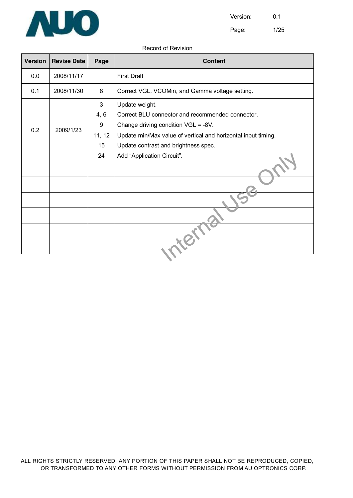

Page: 1/25

#### Record of Revision

| <b>Version</b> | <b>Revise Date</b> | Page   | <b>Content</b>                                                |  |  |  |
|----------------|--------------------|--------|---------------------------------------------------------------|--|--|--|
| 0.0            | 2008/11/17         |        | <b>First Draft</b>                                            |  |  |  |
| 0.1            | 2008/11/30         | 8      | Correct VGL, VCOMin, and Gamma voltage setting.               |  |  |  |
|                |                    | 3      | Update weight.                                                |  |  |  |
|                |                    | 4, 6   | Correct BLU connector and recommended connector.              |  |  |  |
|                |                    | 9      | Change driving condition VGL = -8V.                           |  |  |  |
| 0.2            | 2009/1/23          | 11, 12 | Update min/Max value of vertical and horizontal input timing. |  |  |  |
|                |                    | 15     | Update contrast and brightness spec.                          |  |  |  |
| 24             |                    |        | Add "Application Circuit".                                    |  |  |  |
|                |                    |        |                                                               |  |  |  |
|                |                    |        |                                                               |  |  |  |
|                |                    |        |                                                               |  |  |  |
|                |                    |        |                                                               |  |  |  |
|                |                    |        |                                                               |  |  |  |
|                |                    |        |                                                               |  |  |  |
|                |                    |        |                                                               |  |  |  |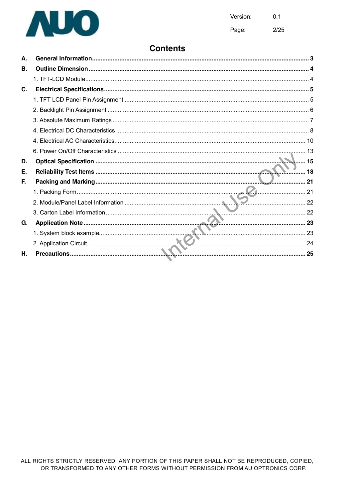

 $2/25$ Page:

#### **Contents**

| А. |    |
|----|----|
| В. |    |
|    |    |
| C. |    |
|    |    |
|    |    |
|    |    |
|    |    |
|    |    |
|    |    |
| D. |    |
| Е. |    |
| F. | 21 |
|    |    |
|    |    |
|    |    |
| G. |    |
|    |    |
|    |    |
| Η. |    |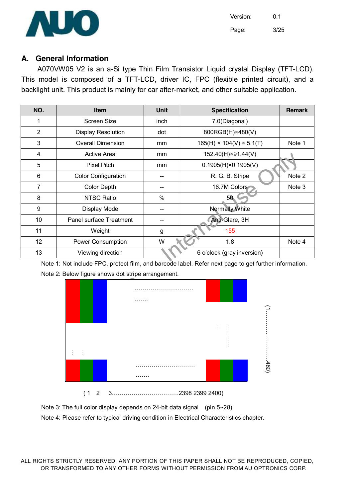

Version: 0.1 Page: 3/25

#### **A. General Information**

A070VW05 V2 is an a-Si type Thin Film Transistor Liquid crystal Display (TFT-LCD). This model is composed of a TFT-LCD, driver IC, FPC (flexible printed circuit), and a backlight unit. This product is mainly for car after-market, and other suitable application.

| NO. | <b>Item</b>                | <b>Unit</b>   | <b>Specification</b>                 | <b>Remark</b> |
|-----|----------------------------|---------------|--------------------------------------|---------------|
| 1   | Screen Size                | inch          | 7.0(Diagonal)                        |               |
| 2   | <b>Display Resolution</b>  | dot           | 800RGB(H)×480(V)                     |               |
| 3   | <b>Overall Dimension</b>   | mm            | $165(H) \times 104(V) \times 5.1(T)$ | Note 1        |
| 4   | Active Area                | <sub>mm</sub> | 152.40(H)×91.44(V)                   |               |
| 5   | <b>Pixel Pitch</b>         | mm            | $0.1905(H) \times 0.1905(V)$         |               |
| 6   | <b>Color Configuration</b> |               | R. G. B. Stripe                      | Note 2        |
| 7   | <b>Color Depth</b>         |               | 16.7M Colors                         | Note 3        |
| 8   | <b>NTSC Ratio</b>          | $\frac{0}{0}$ | 50 <sub>°</sub>                      |               |
| 9   | Display Mode               |               | Normally White                       |               |
| 10  | Panel surface Treatment    |               | Anti-Glare, 3H                       |               |
| 11  | Weight                     | g             | 155                                  |               |
| 12  | <b>Power Consumption</b>   | W             | 1.8                                  | Note 4        |
| 13  | Viewing direction          |               |                                      |               |
|     |                            |               |                                      |               |

Note 1: Not include FPC, protect film, and barcode label. Refer next page to get further information.







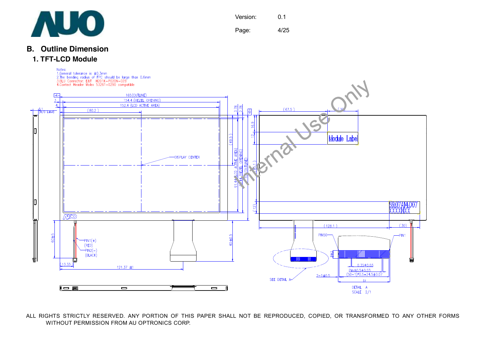

Page: 4/25

#### **B. Outline Dimension**

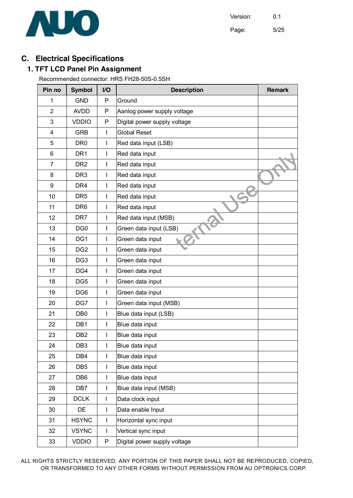

Page: 5/25

#### **C. Electrical Specifications**

#### **1. TFT LCD Panel Pin Assignment**

Recommended connector: HRS FH28-50S-0.5SH

| Pin no         | <b>Symbol</b>   | I/O | <b>Description</b>           | <b>Remark</b> |  |  |
|----------------|-----------------|-----|------------------------------|---------------|--|--|
| 1              | <b>GND</b>      | P   | Ground                       |               |  |  |
| $\overline{2}$ | <b>AVDD</b>     | P   | Aanlog power supply voltage  |               |  |  |
| 3              | <b>VDDIO</b>    | P   | Digital power supply voltage |               |  |  |
| 4              | <b>GRB</b>      | L   | <b>Global Reset</b>          |               |  |  |
| 5              | DR <sub>0</sub> | L   | Red data input (LSB)         |               |  |  |
| 6              | DR <sub>1</sub> | L   | Red data input               |               |  |  |
| 7              | DR <sub>2</sub> | L   | Red data input               |               |  |  |
| 8              | DR <sub>3</sub> | L   | Red data input               |               |  |  |
| 9              | DR <sub>4</sub> | L   | Red data input               |               |  |  |
| 10             | DR <sub>5</sub> | L   | Red data input               |               |  |  |
| 11             | DR <sub>6</sub> | L   | Red data input               |               |  |  |
| 12             | DR <sub>7</sub> | L   | Red data input (MSB)         |               |  |  |
| 13             | DG <sub>0</sub> | L   | Green data input (LSB)       |               |  |  |
| 14             | DG1             | L   | Green data input             |               |  |  |
| 15             | DG <sub>2</sub> | L   | Green data input             |               |  |  |
| 16             | DG <sub>3</sub> | L   | Green data input             |               |  |  |
| 17             | DG4             | L   | Green data input             |               |  |  |
| 18             | DG <sub>5</sub> | L   | Green data input             |               |  |  |
| 19             | DG <sub>6</sub> | L   | Green data input             |               |  |  |
| 20             | DG7             | L   | Green data input (MSB)       |               |  |  |
| 21             | DB <sub>0</sub> | L   | Blue data input (LSB)        |               |  |  |
| 22             | DB1             | L   | Blue data input              |               |  |  |
| 23             | DB <sub>2</sub> | L   | Blue data input              |               |  |  |
| 24             | DB <sub>3</sub> | I   | Blue data input              |               |  |  |
| 25             | DB4             | L   | Blue data input              |               |  |  |
| 26             | DB <sub>5</sub> | L   | Blue data input              |               |  |  |
| 27             | DB <sub>6</sub> | I   | Blue data input              |               |  |  |
| 28             | DB7             | L   | Blue data input (MSB)        |               |  |  |
| 29             | <b>DCLK</b>     | I   | Data clock input             |               |  |  |
| 30             | DE              | L   | Data enable Input            |               |  |  |
| 31             | <b>HSYNC</b>    | I   | Horizontal sync input        |               |  |  |
| 32             | <b>VSYNC</b>    | L   | Vertical sync input          |               |  |  |
| 33             | <b>VDDIO</b>    | P   | Digital power supply voltage |               |  |  |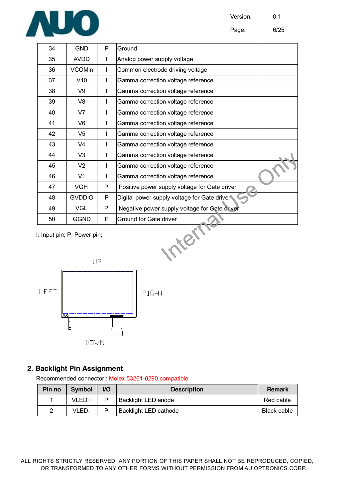

| 34                                            | <b>GND</b>     | P  | Ground                                        |  |  |  |
|-----------------------------------------------|----------------|----|-----------------------------------------------|--|--|--|
| 35                                            | <b>AVDD</b>    | T  | Analog power supply voltage                   |  |  |  |
| 36                                            | <b>VCOMin</b>  |    | Common electrode driving voltage              |  |  |  |
| 37                                            | V10            | T  | Gamma correction voltage reference            |  |  |  |
| 38                                            | V9             | I  | Gamma correction voltage reference            |  |  |  |
| 39                                            | V <sub>8</sub> |    | Gamma correction voltage reference            |  |  |  |
| 40                                            | V <sub>7</sub> |    | Gamma correction voltage reference            |  |  |  |
| 41                                            | V <sub>6</sub> | T  | Gamma correction voltage reference            |  |  |  |
| 42                                            | V5             | T  | Gamma correction voltage reference            |  |  |  |
| 43                                            | V <sub>4</sub> |    | Gamma correction voltage reference            |  |  |  |
| 44                                            | V <sub>3</sub> |    | Gamma correction voltage reference            |  |  |  |
| 45                                            | V <sub>2</sub> | I. | Gamma correction voltage reference            |  |  |  |
| 46                                            | V <sub>1</sub> | ı  | Gamma correction voltage reference            |  |  |  |
| 47                                            | <b>VGH</b>     | P  | Positive power supply voltage for Gate driver |  |  |  |
| 48                                            | <b>GVDDIO</b>  | P  | Digital power supply voltage for Gate driver  |  |  |  |
| 49                                            | <b>VGL</b>     | P  | Negative power supply voltage for Gate driver |  |  |  |
| 50                                            | <b>GGND</b>    | P  | Ground for Gate driver                        |  |  |  |
| terr<br>I: Input pin; P: Power pin;<br>$\Box$ |                |    |                                               |  |  |  |



#### **2. Backlight Pin Assignment**

Recommended connector : Molex 53261-0290 compatible

| Pin no | <b>Symbol</b> | V <sub>O</sub> | <b>Description</b>           | Remark      |
|--------|---------------|----------------|------------------------------|-------------|
|        | VLED+         | P              | <b>Backlight LED anode</b>   | Red cable   |
| 2      | VLED-         |                | <b>Backlight LED cathode</b> | Black cable |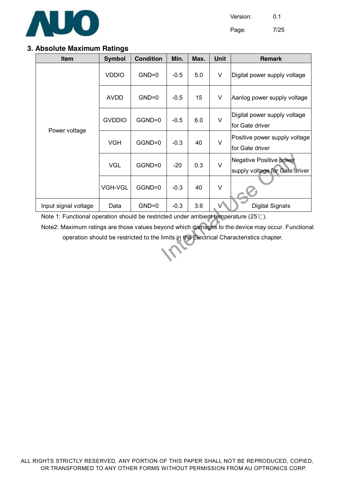

Page: 7/25

#### **3. Absolute Maximum Ratings**

| Item                                                                                            | <b>Symbol</b>  | <b>Condition</b> | Min.   | Max. | <b>Unit</b> | <b>Remark</b>                                                    |
|-------------------------------------------------------------------------------------------------|----------------|------------------|--------|------|-------------|------------------------------------------------------------------|
|                                                                                                 | <b>VDDIO</b>   | $GND=0$          | $-0.5$ | 5.0  | V           | Digital power supply voltage                                     |
|                                                                                                 | <b>AVDD</b>    | $GND=0$          | $-0.5$ | 15   | V           | Aanlog power supply voltage                                      |
| Power voltage                                                                                   | <b>GVDDIO</b>  | GGND=0           | $-0.5$ | 6.0  | $\vee$      | Digital power supply voltage<br>for Gate driver                  |
|                                                                                                 | <b>VGH</b>     | GGND=0           | $-0.3$ | 40   | $\vee$      | Positive power supply voltage<br>for Gate driver                 |
|                                                                                                 | <b>VGL</b>     | GGND=0           | $-20$  | 0.3  | $\vee$      | <b>Negative Positive power</b><br>supply voltage for Gate driver |
|                                                                                                 | <b>VGH-VGL</b> | GGND=0           | $-0.3$ | 40   | $\vee$      |                                                                  |
| Input signal voltage                                                                            | Data           | $GND=0$          | $-0.3$ | 3.6  | V           | <b>Digital Signals</b>                                           |
| Note 1: Functional operation should be restricted under ambient temperature (25 $\degree$ C).   |                |                  |        |      |             |                                                                  |
| Note2: Maximum ratings are those values beyond which damages to the device may occur. Functiona |                |                  |        |      |             |                                                                  |
| operation should be restricted to the limits in the Electrical Characteristics chapter.         |                |                  |        |      |             |                                                                  |
|                                                                                                 |                |                  |        |      |             |                                                                  |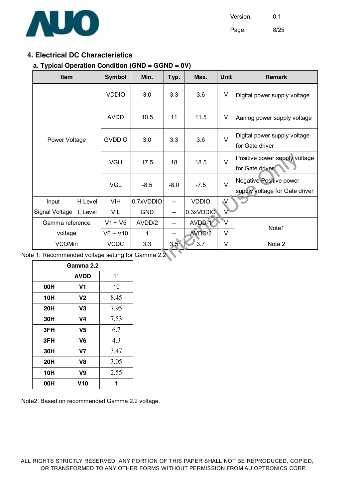

Page: 8/25

#### **4. Electrical DC Characteristics**

#### **a. Typical Operation Condition (GND = GGND = 0V)**

| <b>Item</b>                                    |         | <b>Symbol</b> | Min.       | Typ.             | Max.         | <b>Unit</b>               | <b>Remark</b>                                             |
|------------------------------------------------|---------|---------------|------------|------------------|--------------|---------------------------|-----------------------------------------------------------|
|                                                |         | <b>VDDIO</b>  | 3.0        | 3.3              | 3.6          | V                         | Digital power supply voltage                              |
|                                                |         | <b>AVDD</b>   | 10.5       | 11               | 11.5         | V                         | Aanlog power supply voltage                               |
| Power Voltage                                  |         | <b>GVDDIO</b> | 3.0        | 3.3              | 3.6          | $\vee$                    | Digital power supply voltage<br>for Gate driver           |
|                                                |         | <b>VGH</b>    | 17.5       | 18               | 18.5         | $\vee$                    | Positive power supply voltage<br>for Gate driver          |
|                                                |         | <b>VGL</b>    | $-8.5$     | $-8.0$           | $-7.5$       | $\vee$                    | Negative Positive power<br>supply voltage for Gate driver |
| Input                                          | H Level | <b>VIH</b>    | 0.7xVDDIO  | --               | <b>VDDIO</b> | V                         |                                                           |
| Signal Voltage                                 | L Level | VIL           | <b>GND</b> | --               | 0.3xVDDIO    | V                         |                                                           |
| Gamma reference                                |         | $V1 \sim V5$  | AVDD/2     | --               | AVDD-1       | $\overline{\mathsf{v}}^*$ |                                                           |
| voltage                                        |         | $V6 \sim V10$ | 1          |                  | AVDD/2       | $\vee$                    | Note1                                                     |
| <b>VCOMin</b>                                  |         | <b>VCDC</b>   | 3.3        | 3.5 <sup>2</sup> | 3.7          | $\vee$                    | Note 2                                                    |
| e 1: Recommended voltage setting for Gamma 2.2 |         |               |            |                  |              |                           |                                                           |

Note 1: Recommended voltage setting for Gamma 2.2

| Gamma 2.2  |                |      |  |  |  |
|------------|----------------|------|--|--|--|
|            | <b>AVDD</b>    | 11   |  |  |  |
| 00H        | V1             | 10   |  |  |  |
| 10H        | V <sub>2</sub> | 8.45 |  |  |  |
| <b>20H</b> | V3             | 7.95 |  |  |  |
| 30H        | V4             | 7.53 |  |  |  |
| 3FH        | V <sub>5</sub> | 6.7  |  |  |  |
| 3FH        | V <sub>6</sub> | 4.3  |  |  |  |
| 30H        | V7             | 3.47 |  |  |  |
| 20H        | V8             | 3.05 |  |  |  |
| 10H        | V9             | 2.55 |  |  |  |
| 00H        | V10            |      |  |  |  |

Note2: Based on recommended Gamma 2.2 voltage.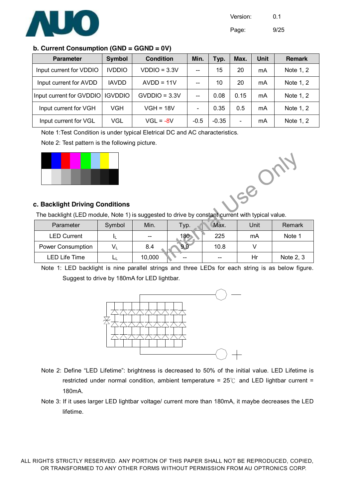

Page: 9/25

#### **b. Current Consumption (GND = GGND = 0V)**

| <b>Parameter</b>         | <b>Symbol</b>  | <b>Condition</b> | Min.   | Typ.    | Max.            | <b>Unit</b> | <b>Remark</b> |
|--------------------------|----------------|------------------|--------|---------|-----------------|-------------|---------------|
| Input current for VDDIO  | <b>IVDDIO</b>  | $VDDIO = 3.3V$   |        | 15      | 20              | mA          | Note 1, 2     |
| Input current for AVDD   | <b>IAVDD</b>   | $AVDD = 11V$     |        | 10      | 20              | mA          | Note 1, 2     |
| Input current for GVDDIO | <b>IGVDDIO</b> | $GVDDIO = 3.3V$  |        | 0.08    | 0.15            | mA          | Note 1, 2     |
| Input current for VGH    | VGH            | $VGH = 18V$      |        | 0.35    | 0.5             | mA          | Note 1, 2     |
| Input current for VGL    | VGL            | $VGL = -8V$      | $-0.5$ | $-0.35$ | $\qquad \qquad$ | mA          | Note 1, 2     |

Note 1:Test Condition is under typical Eletrical DC and AC characteristics.

#### Note 2: Test pattern is the following picture.





#### **c. Backlight Driving Conditions**

The backlight (LED module, Note 1) is suggested to drive by constant current with typical value.

| Parameter                | Symbol | Min.                     | Typ.  | Max.  | Unit | Remark    |
|--------------------------|--------|--------------------------|-------|-------|------|-----------|
| <b>LED Current</b>       |        | $\overline{\phantom{a}}$ | 180   | 225   | mA   | Note 1    |
| <b>Power Consumption</b> |        | 8.4                      | 9.9   | 10.8  |      |           |
| LED Life Time            |        | 10,000                   | $- -$ | $- -$ | Hr   | Note 2, 3 |

Note 1: LED backlight is nine parallel strings and three LEDs for each string is as below figure. Suggest to drive by 180mA for LED lightbar.



- Note 2: Define "LED Lifetime": brightness is decreased to 50% of the initial value. LED Lifetime is restricted under normal condition, ambient temperature =  $25^{\circ}$  and LED lightbar current = 180mA.
- Note 3: If it uses larger LED lightbar voltage/ current more than 180mA, it maybe decreases the LED lifetime.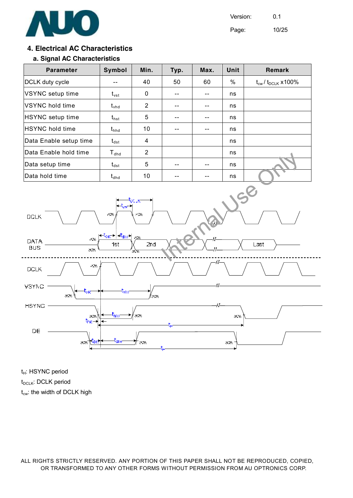

Page: 10/25

#### **4. Electrical AC Characteristics**

#### **a. Signal AC Characteristics**

| <b>Parameter</b>        | Symbol         | Min.           | Typ. | Max. | Unit | Remark                                |
|-------------------------|----------------|----------------|------|------|------|---------------------------------------|
| DCLK duty cycle         |                | 40             | 50   | 60   | %    | $t_{\text{cw}}/t_{\text{DCLK}}$ x100% |
| VSYNC setup time        | $t_{\rm vst}$  | 0              |      |      | ns   |                                       |
| <b>IVSYNC hold time</b> | $t_{\rm vhd}$  | $\overline{2}$ |      |      | ns   |                                       |
| HSYNC setup time        | $t_{\sf{hst}}$ | 5              |      |      | ns   |                                       |
| <b>HSYNC</b> hold time  | $t_{hhd}$      | 10             |      |      | ns   |                                       |
| Data Enable setup time  | $t_{dst}$      | 4              |      |      | ns   |                                       |
| Data Enable hold time   | $T_{dhd}$      | $\overline{2}$ |      |      | ns   |                                       |
| Data setup time         | $t_{\sf dest}$ | 5              |      |      | ns   |                                       |
| Data hold time          | $t_{dhd}$      | 10             |      |      | ns   |                                       |



t<sub>H</sub>: HSYNC period t<sub>DCLK</sub>: DCLK period  $t_{cw}$ : the width of DCLK high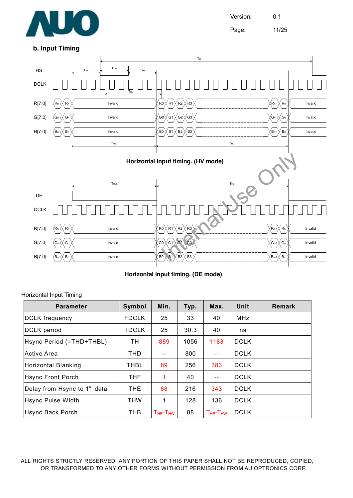

Version: 0.1 Page: 11/25

#### **b. Input Timing**



**Horizontal input timing. (DE mode)** 

#### Horizontal Input Timing

| <b>Parameter</b>                         | Symbol       | Min.                | Typ. | Max.                | Unit        | <b>Remark</b> |
|------------------------------------------|--------------|---------------------|------|---------------------|-------------|---------------|
| <b>DCLK</b> frequency                    | <b>FDCLK</b> | 25                  | 33   | 40                  | MHz         |               |
| <b>DCLK</b> period                       | <b>TDCLK</b> | 25                  | 30.3 | 40                  | ns          |               |
| Hsync Period (=THD+THBL)                 | TН           | 889                 | 1056 | 1183                | <b>DCLK</b> |               |
| Active Area                              | THD          |                     | 800  |                     | <b>DCLK</b> |               |
| Horizontal Blanking                      | <b>THBL</b>  | 89                  | 256  | 383                 | <b>DCLK</b> |               |
| <b>Hsync Front Porch</b>                 | THF          | 1                   | 40   |                     | <b>DCLK</b> |               |
| Delay from Hsync to 1 <sup>st</sup> data | THE.         | 88                  | 216  | 343                 | <b>DCLK</b> |               |
| Hsync Pulse Width                        | <b>THW</b>   | 1                   | 128  | 136                 | <b>DCLK</b> |               |
| Hsync Back Porch                         | THB          | $T_{HE}$ - $T_{HW}$ | 88   | $T_{HE}$ - $T_{HW}$ | <b>DCLK</b> |               |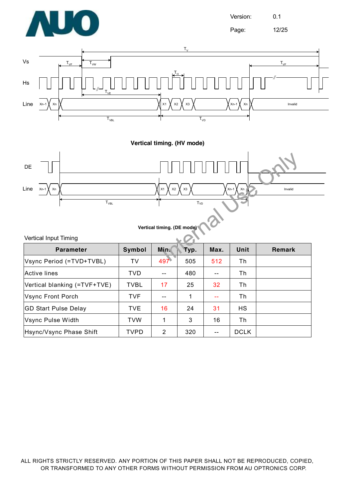

Page: 12/25



**Vertical timing. (HV mode)** 



**Vertical timing. (DE mode)** 

| Vertical Input Timing |  |  |
|-----------------------|--|--|
|-----------------------|--|--|

| <b>Parameter</b>             | Symbol      | <b>Min</b> | Typ. | Max. | Unit        | Remark |
|------------------------------|-------------|------------|------|------|-------------|--------|
| Vsync Period (=TVD+TVBL)     | TV          | 497        | 505  | 512  | Th          |        |
| Active lines                 | <b>TVD</b>  |            | 480  |      | Th          |        |
| Vertical blanking (=TVF+TVE) | <b>TVBL</b> | 17         | 25   | 32   | Th          |        |
| Vsync Front Porch            | <b>TVF</b>  | $- -$      |      | $-$  | Th          |        |
| <b>GD Start Pulse Delay</b>  | <b>TVE</b>  | 16         | 24   | 31   | <b>HS</b>   |        |
| Vsync Pulse Width            | <b>TVW</b>  | 1          | 3    | 16   | Th          |        |
| Hsync/Vsync Phase Shift      | <b>TVPD</b> | 2          | 320  |      | <b>DCLK</b> |        |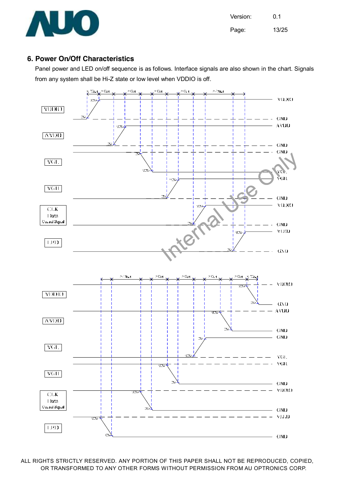

Version: 0.1 Page: 13/25

#### **6. Power On/Off Characteristics**

Panel power and LED on/off sequence is as follows. Interface signals are also shown in the chart. Signals from any system shall be Hi-Z state or low level when VDDIO is off.

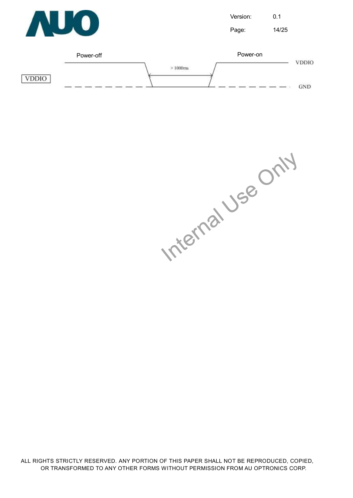

Version: 0.1 Page: 14/25



Internal Use Only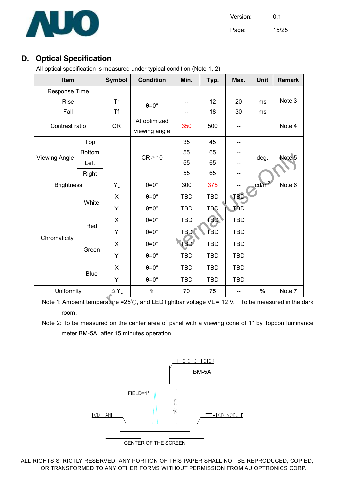

Page: 15/25

#### **D. Optical Specification**

All optical specification is measured under typical condition (Note 1, 2)

| Item                 |                |              | <b>Condition</b>              | Min.       | Typ.       | Max.       | Unit              | <b>Remark</b> |
|----------------------|----------------|--------------|-------------------------------|------------|------------|------------|-------------------|---------------|
| Response Time        |                |              |                               |            |            |            |                   |               |
| <b>Rise</b>          |                | <b>Tr</b>    | $\theta = 0^\circ$            | --         | 12         | 20         | ms                | Note 3        |
| Fall                 |                | <b>Tf</b>    |                               | --         | 18         | 30         | ms                |               |
|                      | Contrast ratio |              | At optimized<br>viewing angle | 350        | 500        |            |                   | Note 4        |
|                      | Top            |              |                               | 35         | 45         |            |                   |               |
| <b>Viewing Angle</b> | <b>Bottom</b>  |              | $CR \ge 10$                   | 55         | 65         |            | deg.              | Note 5        |
|                      | Left           |              |                               | 55         | 65         |            |                   |               |
|                      | Right          |              |                               | 55         | 65         |            |                   |               |
| <b>Brightness</b>    |                | $Y_L$        | $\theta = 0^\circ$            | 300        | 375        |            | cd/m <sup>2</sup> | Note 6        |
|                      | White          | X            | $\theta = 0^\circ$            | <b>TBD</b> | <b>TBD</b> | <b>TBD</b> |                   |               |
|                      |                | Y            | $\theta = 0^\circ$            | <b>TBD</b> | <b>TBD</b> | TBD        |                   |               |
|                      | Red            | X            | $\theta = 0^\circ$            | <b>TBD</b> | <b>TBD</b> | <b>TBD</b> |                   |               |
| Chromaticity         |                | Υ            | $\theta = 0^\circ$            | <b>TBD</b> | TBD        | <b>TBD</b> |                   |               |
|                      | Green          | X            | $\theta = 0^\circ$            | <b>TBD</b> | <b>TBD</b> | <b>TBD</b> |                   |               |
|                      |                | Y            | $\theta = 0^\circ$            | <b>TBD</b> | <b>TBD</b> | <b>TBD</b> |                   |               |
|                      |                | X            | $\theta = 0^\circ$            | <b>TBD</b> | <b>TBD</b> | <b>TBD</b> |                   |               |
|                      | <b>Blue</b>    | Υ            | $\theta = 0^\circ$            | <b>TBD</b> | <b>TBD</b> | <b>TBD</b> |                   |               |
| Uniformity           |                | $\Delta Y_L$ | $\%$                          | 70         | 75         |            | $\%$              | Note 7        |

<u>reverse the control distribution of the set of the set of the set of the set of the set of the dark</u><br>Note 1: Ambient temperature =25℃, and LED lightbar voltage VL = 12 V. To be measured in the dark room.

Note 2: To be measured on the center area of panel with a viewing cone of 1° by Topcon luminance meter BM-5A, after 15 minutes operation.

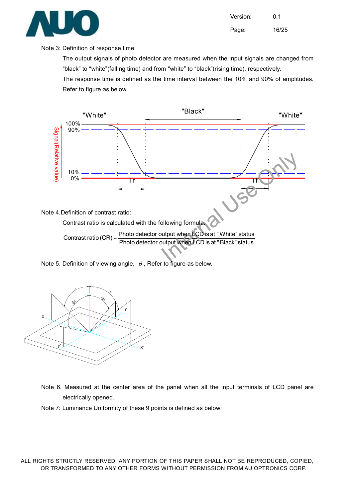

Version: 0.1 Page: 16/25

#### Note 3: Definition of response time:

The output signals of photo detector are measured when the input signals are changed from "black" to "white"(falling time) and from "white" to "black"(rising time), respectively.

The response time is defined as the time interval between the 10% and 90% of amplitudes. Refer to figure as below.



Note 5. Definition of viewing angle,  $\theta$ , Refer to figure as below.



Note 6. Measured at the center area of the panel when all the input terminals of LCD panel are electrically opened.

Note 7: Luminance Uniformity of these 9 points is defined as below: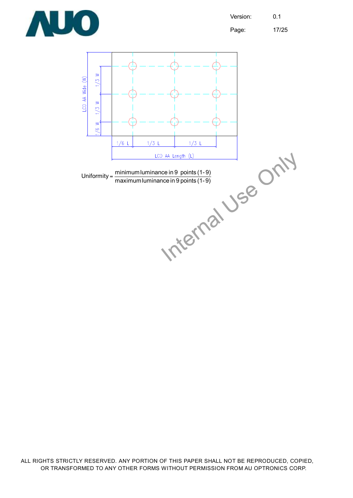

Page: 17/25

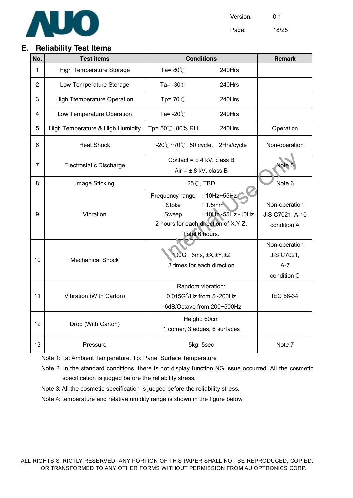

Page: 18/25

#### **E. Reliability Test Items**

| No. | <b>Test items</b>                  | <b>Conditions</b>                                                                                               |                                 | <b>Remark</b>                                       |
|-----|------------------------------------|-----------------------------------------------------------------------------------------------------------------|---------------------------------|-----------------------------------------------------|
| 1   | <b>High Temperature Storage</b>    | Ta= $80^{\circ}$ C                                                                                              | 240Hrs                          |                                                     |
| 2   | Low Temperature Storage            | Ta= $-30^{\circ}$ C                                                                                             | 240Hrs                          |                                                     |
| 3   | <b>High Ttemperature Operation</b> | Tp= $70^{\circ}$ C                                                                                              | 240Hrs                          |                                                     |
| 4   | Low Temperature Operation          | Ta= $-20^{\circ}$ C                                                                                             | 240Hrs                          |                                                     |
| 5   | High Temperature & High Humidity   | Tp= 50℃. 80% RH                                                                                                 | 240Hrs                          | Operation                                           |
| 6   | <b>Heat Shock</b>                  | $-20^{\circ}$ C $\sim$ 70 $^{\circ}$ C, 50 cycle,                                                               | 2Hrs/cycle                      | Non-operation                                       |
| 7   | Electrostatic Discharge            | Contact = $\pm$ 4 kV, class B<br>$Air = ± 8$ kV, class B                                                        |                                 | Note 5                                              |
| 8   | Image Sticking                     | 25°C, TBD                                                                                                       | Note 6                          |                                                     |
| 9   | Vibration                          | Frequency range<br><b>Stoke</b><br>: 1.5mm<br>Sweep<br>2 hours for each direction of X, Y, Z.<br>Total 6 hours. | : 10Hz~55Hz<br>: 10Hz~55Hz~10Hz | Non-operation<br>JIS C7021, A-10<br>condition A     |
| 10  | <b>Mechanical Shock</b>            | 100G. 6ms, ±X,±Y,±Z<br>3 times for each direction                                                               |                                 | Non-operation<br>JIS C7021,<br>$A-7$<br>condition C |
| 11  | Vibration (With Carton)            | Random vibration:<br>$0.015G^2$ /Hz from 5~200Hz<br>-6dB/Octave from 200~500Hz                                  |                                 | IEC 68-34                                           |
| 12  | Drop (With Carton)                 | Height: 60cm<br>1 corner, 3 edges, 6 surfaces                                                                   |                                 |                                                     |
| 13  | Pressure                           | 5kg, 5sec                                                                                                       |                                 | Note 7                                              |

Note 1: Ta: Ambient Temperature. Tp: Panel Surface Temperature

Note 2: In the standard conditions, there is not display function NG issue occurred. All the cosmetic specification is judged before the reliability stress.

- Note 3: All the cosmetic specification is judged before the reliability stress.
- Note 4: temperature and relative umidity range is shown in the figure below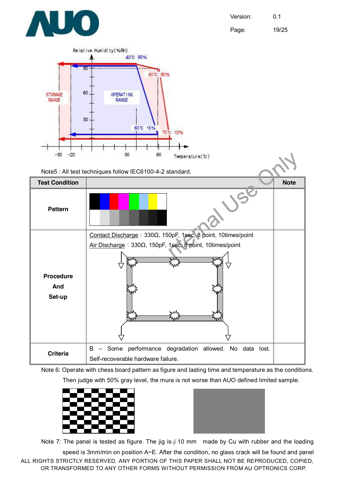

Page: 19/25



Note 6: Operate with chess board pattern as figure and lasting time and temperature as the conditions. Then judge with 50% gray level, the mura is not worse than AUO defined limited sample.





Note 7: The panel is tested as figure. The jig is  $\phi$  10 mm made by Cu with rubber and the loading

ALL RIGHTS STRICTLY RESERVED. ANY PORTION OF THIS PAPER SHALL NOT BE REPRODUCED, COPIED, OR TRANSFORMED TO ANY OTHER FORMS WITHOUT PERMISSION FROM AU OPTRONICS CORP. speed is 3mm/min on position A~E. After the condition, no glass crack will be found and panel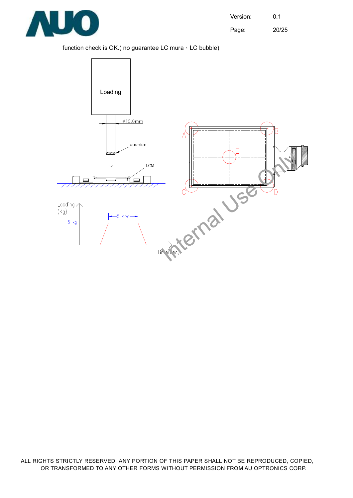

Page: 20/25

#### function check is OK.( no guarantee LC mura、LC bubble)

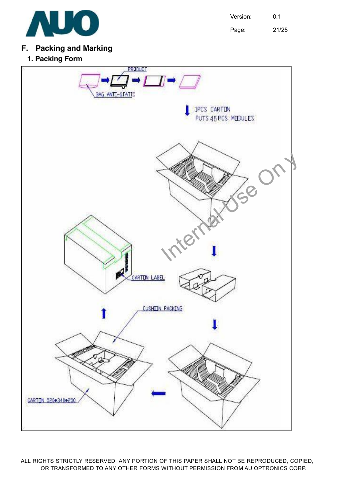

Page: 21/25

### **F. Packing and Marking**

**1. Packing Form** 

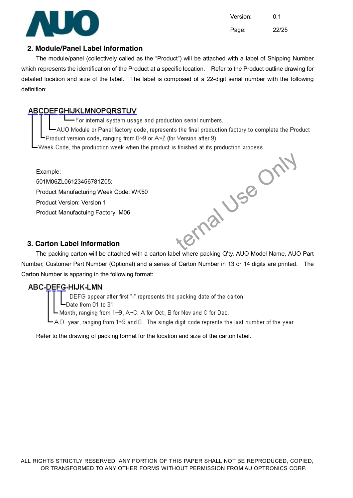

Version: 0.1 Page: 22/25

#### **2. Module/Panel Label Information**

The module/panel (collectively called as the "Product") will be attached with a label of Shipping Number which represents the identification of the Product at a specific location. Refer to the Product outline drawing for detailed location and size of the label. The label is composed of a 22-digit serial number with the following definition:

#### **ABCDEFGHIJKLMNOPQRSTUV**

For internal system usage and production serial numbers.

-AUO Module or Panel factory code, represents the final production factory to complete the Product Product version code, ranging from 0~9 or A~Z (for Version after 9)

-Week Code, the production week when the product is finished at its production process.

Example: 501M06ZL06123456781Z05: Product Manufacturing Week Code: WK50 Product Version: Version 1 Product Manufactuing Factory: M06

#### **3. Carton Label Information**

ternal Use Only The packing carton will be attached with a carton label where packing Q'ty, AUO Model Name, AUO Part Number, Customer Part Number (Optional) and a series of Carton Number in 13 or 14 digits are printed. The Carton Number is apparing in the following format:

-∟iviry<br>Fappear after firs<br>om 01 to 31<br>anging from 1∼9, anging from 1∼9,

Refer to the drawing of packing format for the location and size of the carton label.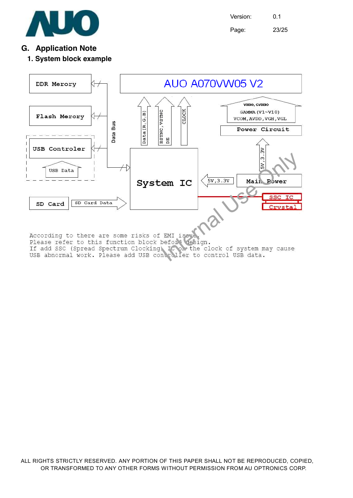

Version: 0.1 Page: 23/25

#### **G. Application Note**

#### **1. System block example**

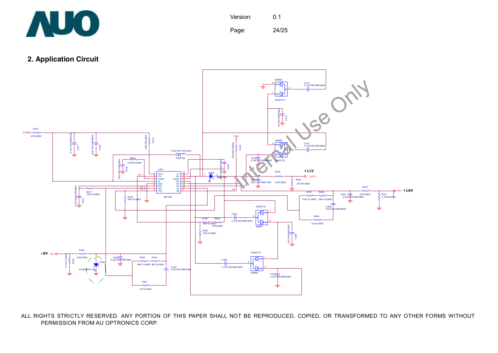

Page: 24/25

**2. Application Circuit**